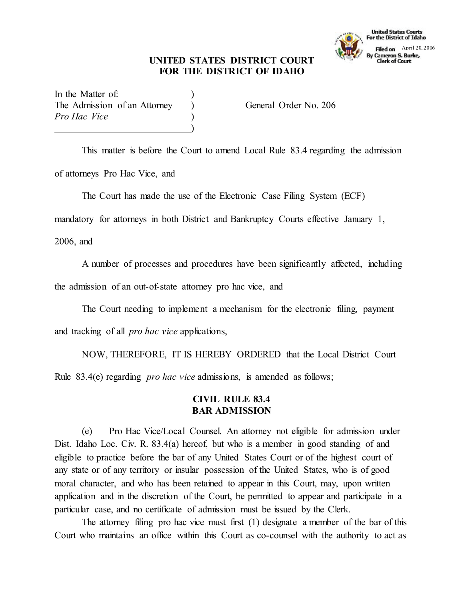## **UNITED STATES DISTRICT COURT FOR THE DISTRICT OF IDAHO**



In the Matter of: The Admission of an Attorney (a) General Order No. 206 *Pro Hac Vice* )

This matter is before the Court to amend Local Rule 83.4 regarding the admission of attorneys Pro Hac Vice, and

)

The Court has made the use of the Electronic Case Filing System (ECF)

mandatory for attorneys in both District and Bankruptcy Courts effective January 1,

2006, and

A number of processes and procedures have been significantly affected, including

the admission of an out-of-state attorney pro hac vice, and

The Court needing to implement a mechanism for the electronic filing, payment

and tracking of all *pro hac vice* applications,

NOW, THEREFORE, IT IS HEREBY ORDERED that the Local District Court Rule 83.4(e) regarding *pro hac vice* admissions, is amended as follows;

## **CIVIL RULE 83.4 BAR ADMISSION**

(e) Pro Hac Vice/Local Counsel. An attorney not eligible for admission under Dist. Idaho Loc. Civ. R. 83.4(a) hereof, but who is a member in good standing of and eligible to practice before the bar of any United States Court or of the highest court of any state or of any territory or insular possession of the United States, who is of good moral character, and who has been retained to appear in this Court, may, upon written application and in the discretion of the Court, be permitted to appear and participate in a particular case, and no certificate of admission must be issued by the Clerk.

The attorney filing pro hac vice must first (1) designate a member of the bar of this Court who maintains an office within this Court as co-counsel with the authority to act as